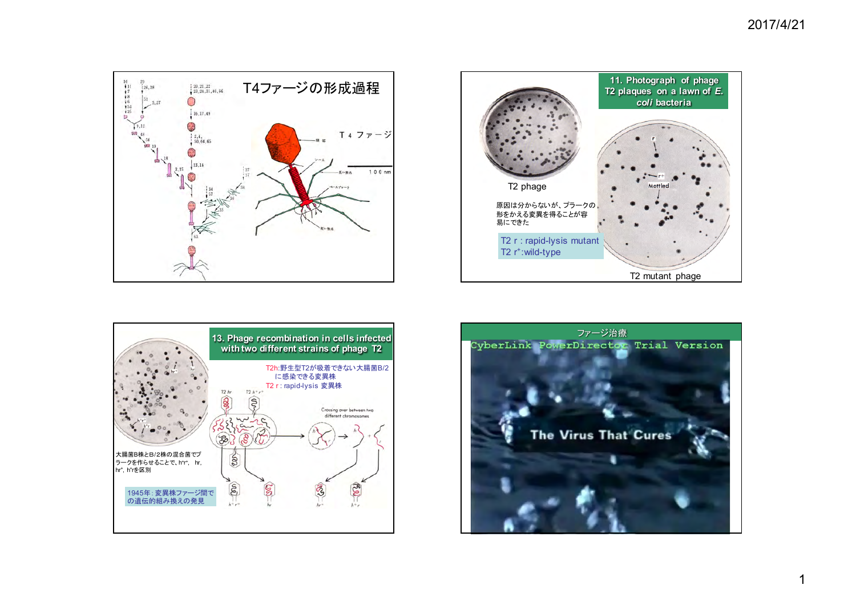





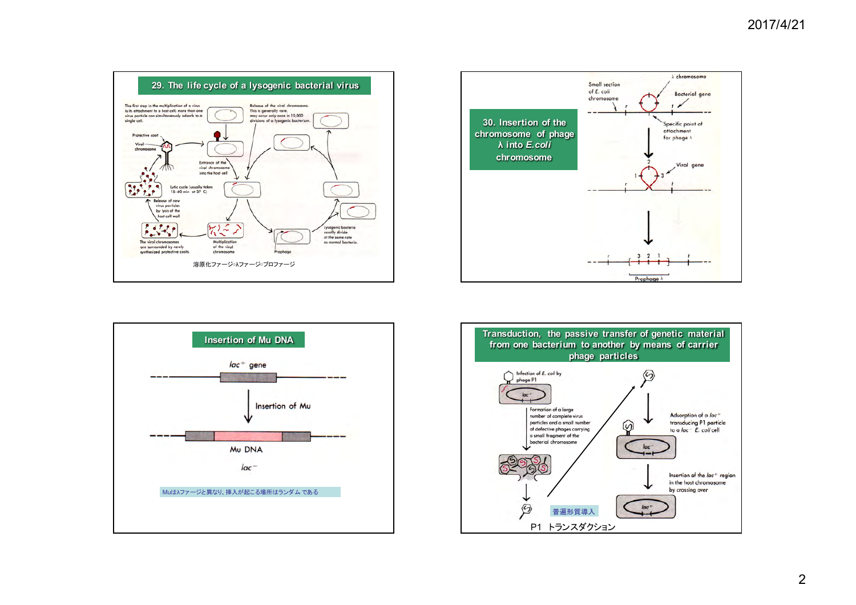





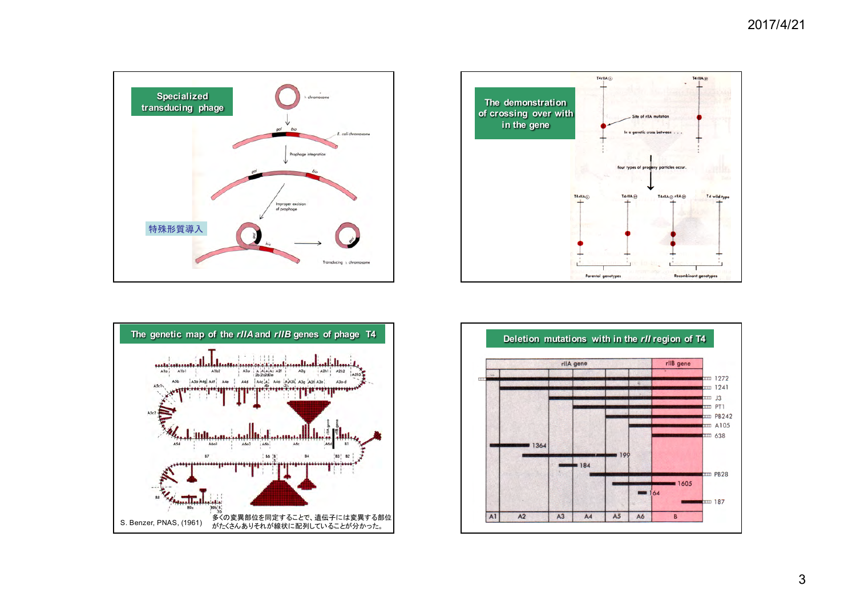





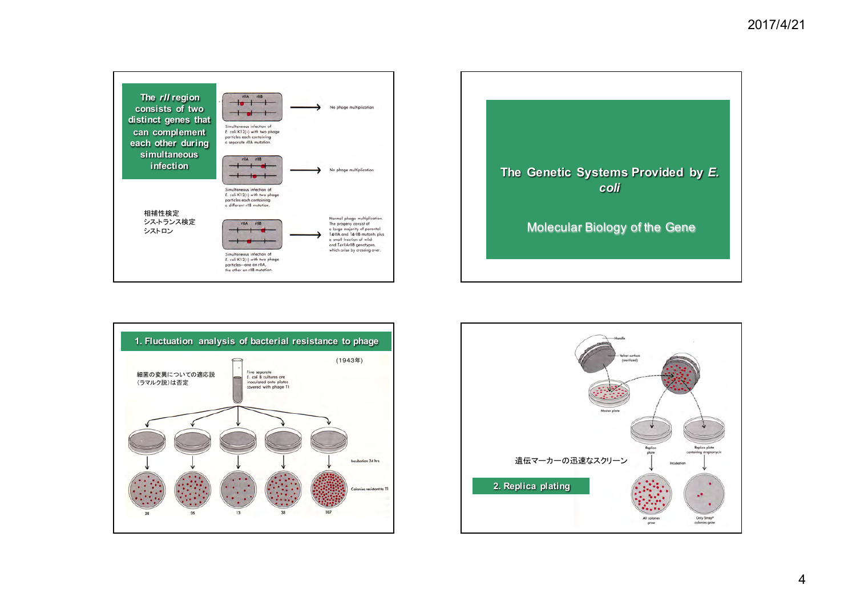





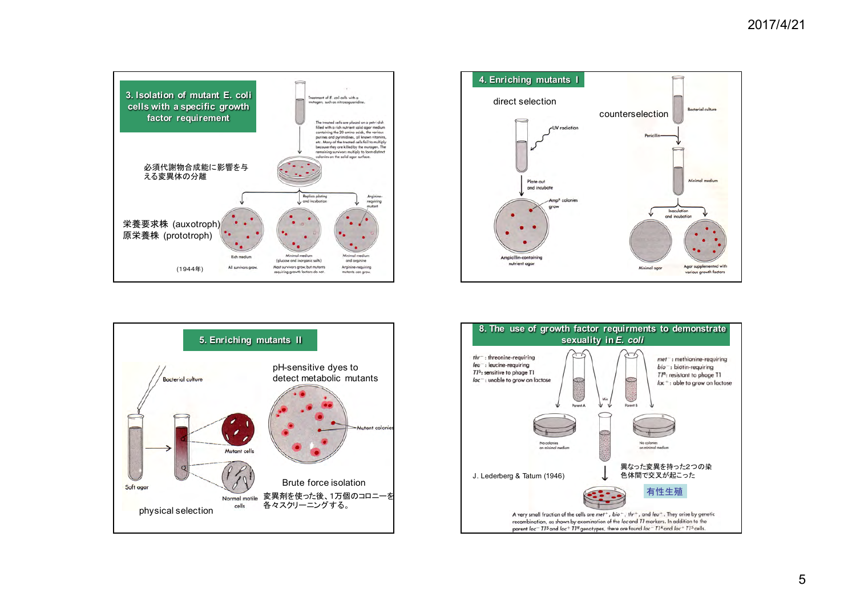